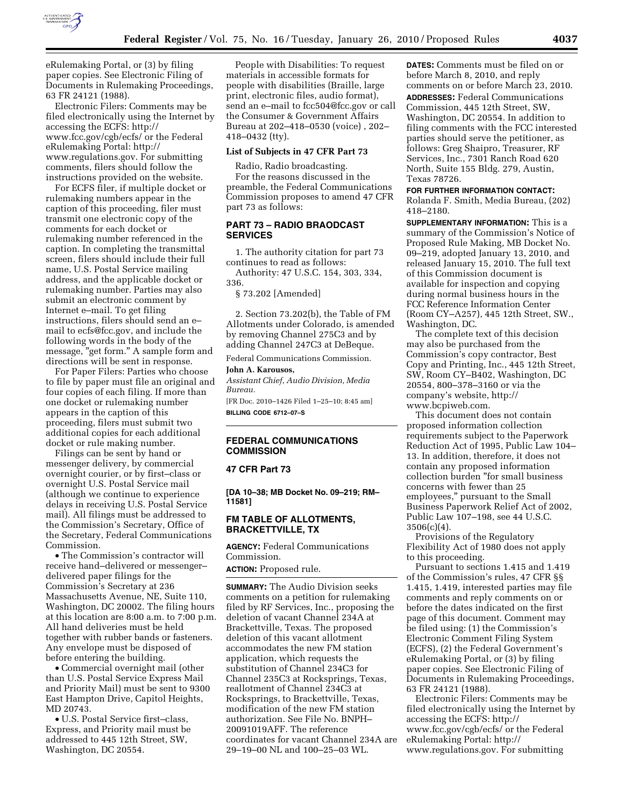

eRulemaking Portal, or (3) by filing paper copies. See Electronic Filing of Documents in Rulemaking Proceedings, 63 FR 24121 (1988).

Electronic Filers: Comments may be filed electronically using the Internet by accessing the ECFS: http:// www.fcc.gov/cgb/ecfs/ or the Federal eRulemaking Portal: http:// www.regulations.gov. For submitting comments, filers should follow the instructions provided on the website.

For ECFS filer, if multiple docket or rulemaking numbers appear in the caption of this proceeding, filer must transmit one electronic copy of the comments for each docket or rulemaking number referenced in the caption. In completing the transmittal screen, filers should include their full name, U.S. Postal Service mailing address, and the applicable docket or rulemaking number. Parties may also submit an electronic comment by Internet e–mail. To get filing instructions, filers should send an e– mail to ecfs@fcc.gov, and include the following words in the body of the message, "get form." A sample form and directions will be sent in response.

For Paper Filers: Parties who choose to file by paper must file an original and four copies of each filing. If more than one docket or rulemaking number appears in the caption of this proceeding, filers must submit two additional copies for each additional docket or rule making number.

Filings can be sent by hand or messenger delivery, by commercial overnight courier, or by first–class or overnight U.S. Postal Service mail (although we continue to experience delays in receiving U.S. Postal Service mail). All filings must be addressed to the Commission's Secretary, Office of the Secretary, Federal Communications Commission.

• The Commission's contractor will receive hand–delivered or messenger– delivered paper filings for the Commission's Secretary at 236 Massachusetts Avenue, NE, Suite 110, Washington, DC 20002. The filing hours at this location are 8:00 a.m. to 7:00 p.m. All hand deliveries must be held together with rubber bands or fasteners. Any envelope must be disposed of before entering the building.

• Commercial overnight mail (other than U.S. Postal Service Express Mail and Priority Mail) must be sent to 9300 East Hampton Drive, Capitol Heights, MD 20743.

• U.S. Postal Service first–class, Express, and Priority mail must be addressed to 445 12th Street, SW, Washington, DC 20554.

People with Disabilities: To request materials in accessible formats for people with disabilities (Braille, large print, electronic files, audio format), send an e–mail to fcc504@fcc.gov or call the Consumer & Government Affairs Bureau at 202–418–0530 (voice) , 202– 418–0432 (tty).

#### **List of Subjects in 47 CFR Part 73**

Radio, Radio broadcasting. For the reasons discussed in the preamble, the Federal Communications Commission proposes to amend 47 CFR part 73 as follows:

## **PART 73 – RADIO BRAODCAST SERVICES**

1. The authority citation for part 73 continues to read as follows:

Authority: 47 U.S.C. 154, 303, 334, 336.

§ 73.202 [Amended]

2. Section 73.202(b), the Table of FM Allotments under Colorado, is amended by removing Channel 275C3 and by adding Channel 247C3 at DeBeque.

Federal Communications Commission.

# **John A. Karousos,**

*Assistant Chief, Audio Division, Media Bureau.* 

[FR Doc. 2010–1426 Filed 1–25–10; 8:45 am] **BILLING CODE 6712–07–S** 

## **FEDERAL COMMUNICATIONS COMMISSION**

## **47 CFR Part 73**

**[DA 10–38; MB Docket No. 09–219; RM– 11581]** 

## **FM TABLE OF ALLOTMENTS, BRACKETTVILLE, TX**

**AGENCY:** Federal Communications Commission.

**ACTION:** Proposed rule.

**SUMMARY:** The Audio Division seeks comments on a petition for rulemaking filed by RF Services, Inc., proposing the deletion of vacant Channel 234A at Brackettville, Texas. The proposed deletion of this vacant allotment accommodates the new FM station application, which requests the substitution of Channel 234C3 for Channel 235C3 at Rocksprings, Texas, reallotment of Channel 234C3 at Rocksprings, to Brackettville, Texas, modification of the new FM station authorization. See File No. BNPH– 20091019AFF. The reference coordinates for vacant Channel 234A are 29–19–00 NL and 100–25–03 WL.

**DATES:** Comments must be filed on or before March 8, 2010, and reply comments on or before March 23, 2010. **ADDRESSES:** Federal Communications Commission, 445 12th Street, SW, Washington, DC 20554. In addition to filing comments with the FCC interested parties should serve the petitioner, as follows: Greg Shaipro, Treasurer, RF Services, Inc., 7301 Ranch Road 620 North, Suite 155 Bldg. 279, Austin, Texas 78726.

**FOR FURTHER INFORMATION CONTACT:**  Rolanda F. Smith, Media Bureau, (202) 418–2180.

**SUPPLEMENTARY INFORMATION:** This is a summary of the Commission's Notice of Proposed Rule Making, MB Docket No. 09–219, adopted January 13, 2010, and released January 15, 2010. The full text of this Commission document is available for inspection and copying during normal business hours in the FCC Reference Information Center (Room CY–A257), 445 12th Street, SW., Washington, DC.

The complete text of this decision may also be purchased from the Commission's copy contractor, Best Copy and Printing, Inc., 445 12th Street, SW, Room CY–B402, Washington, DC 20554, 800–378–3160 or via the company's website, http:// www.bcpiweb.com.

This document does not contain proposed information collection requirements subject to the Paperwork Reduction Act of 1995, Public Law 104– 13. In addition, therefore, it does not contain any proposed information collection burden ''for small business concerns with fewer than 25 employees,'' pursuant to the Small Business Paperwork Relief Act of 2002, Public Law 107–198, see 44 U.S.C.  $3506(c)(4)$ .

Provisions of the Regulatory Flexibility Act of 1980 does not apply to this proceeding.

Pursuant to sections 1.415 and 1.419 of the Commission's rules, 47 CFR §§ 1.415, 1.419, interested parties may file comments and reply comments on or before the dates indicated on the first page of this document. Comment may be filed using: (1) the Commission's Electronic Comment Filing System (ECFS), (2) the Federal Government's eRulemaking Portal, or (3) by filing paper copies. See Electronic Filing of Documents in Rulemaking Proceedings, 63 FR 24121 (1988).

Electronic Filers: Comments may be filed electronically using the Internet by accessing the ECFS: http:// www.fcc.gov/cgb/ecfs/ or the Federal eRulemaking Portal: http:// www.regulations.gov. For submitting